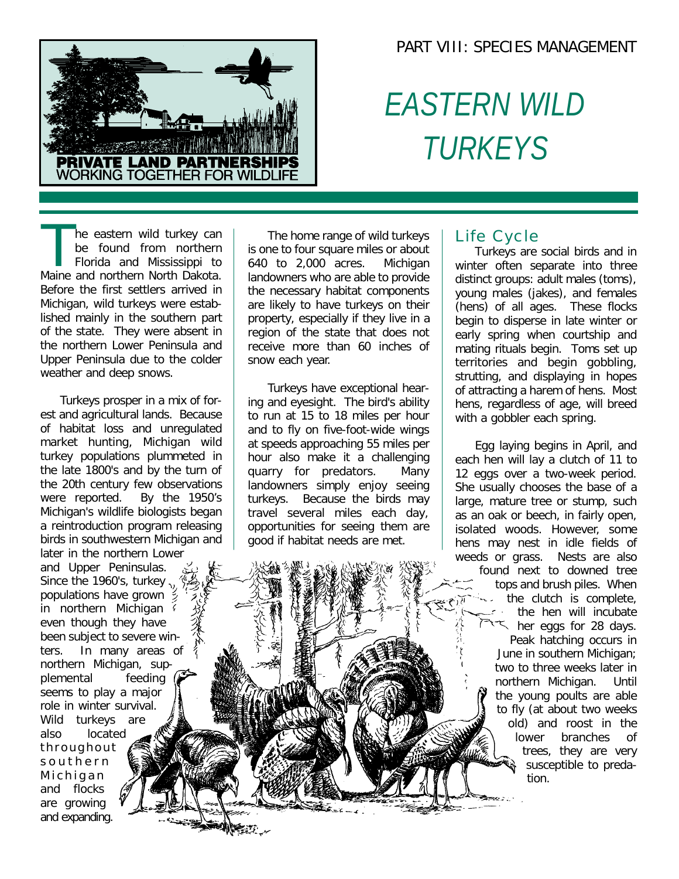## PART VIII: SPECIES MANAGEMENT



# *EASTERN WILD TURKEYS*

The eastern wild turkey can<br>be found from northern<br>Florida and Mississippi to<br>Maine and northern North Dakota. he eastern wild turkey can be found from northern Florida and Mississippi to Before the first settlers arrived in Michigan, wild turkeys were established mainly in the southern part of the state. They were absent in the northern Lower Peninsula and Upper Peninsula due to the colder weather and deep snows.

Turkeys prosper in a mix of forest and agricultural lands. Because of habitat loss and unregulated market hunting, Michigan wild turkey populations plummeted in the late 1800's and by the turn of the 20th century few observations were reported. By the 1950's Michigan's wildlife biologists began a reintroduction program releasing birds in southwestern Michigan and later in the northern Lower

and Upper Peninsulas. Since the 1960's, turkey  $v_i$ populations have grown  $\frac{3}{2}$ in northern Michigan even though they have been subject to severe winters. In many areas of northern Michigan, supplemental feeding seems to play a major role in winter survival. Wild turkeys are also located throughout southern Michigan and flocks are growing and expanding.

The home range of wild turkeys is one to four square miles or about 640 to 2,000 acres. Michigan landowners who are able to provide the necessary habitat components are likely to have turkeys on their property, especially if they live in a region of the state that does not receive more than 60 inches of snow each year.

Turkeys have exceptional hearing and eyesight. The bird's ability to run at 15 to 18 miles per hour and to fly on five-foot-wide wings at speeds approaching 55 miles per hour also make it a challenging quarry for predators. Many landowners simply enjoy seeing turkeys. Because the birds may travel several miles each day, opportunities for seeing them are good if habitat needs are met.

## Life Cycle

Turkeys are social birds and in winter often separate into three distinct groups: adult males (toms), young males (jakes), and females (hens) of all ages. These flocks begin to disperse in late winter or early spring when courtship and mating rituals begin. Toms set up territories and begin gobbling, strutting, and displaying in hopes of attracting a harem of hens. Most hens, regardless of age, will breed with a gobbler each spring.

Egg laying begins in April, and each hen will lay a clutch of 11 to 12 eggs over a two-week period. She usually chooses the base of a large, mature tree or stump, such as an oak or beech, in fairly open, isolated woods. However, some hens may nest in idle fields of weeds or grass. Nests are also found next to downed tree tops and brush piles. When the clutch is complete, the hen will incubate her eggs for 28 days. Peak hatching occurs in June in southern Michigan; two to three weeks later in northern Michigan. Until the young poults are able to fly (at about two weeks old) and roost in the lower branches of trees, they are very susceptible to predation.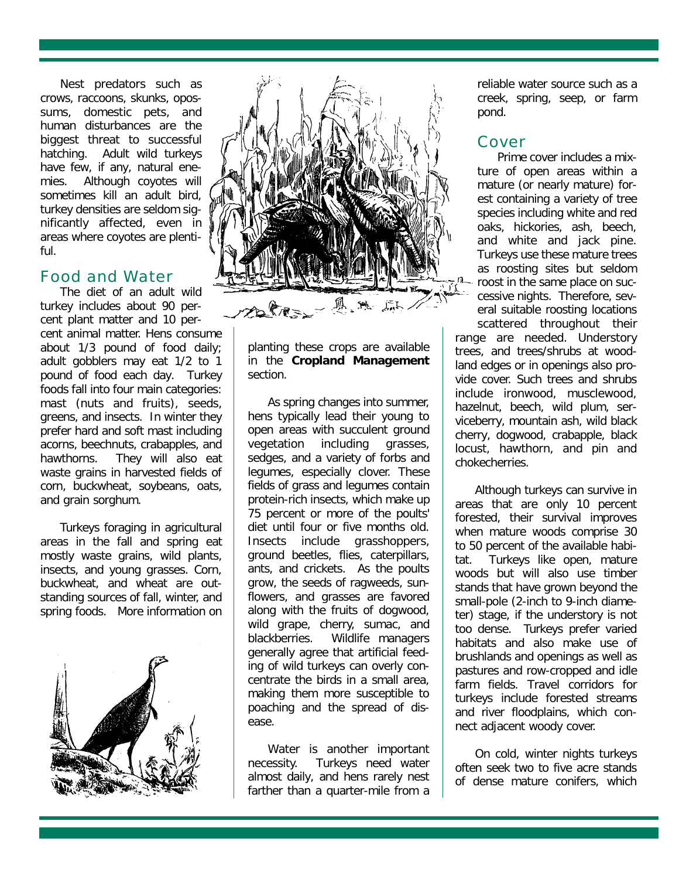Nest predators such as crows, raccoons, skunks, opossums, domestic pets, and human disturbances are the biggest threat to successful hatching. Adult wild turkeys have few, if any, natural enemies. Although coyotes will sometimes kill an adult bird, turkey densities are seldom significantly affected, even in areas where coyotes are plentiful.

### Food and Water

The diet of an adult wild turkey includes about 90 percent plant matter and 10 percent animal matter. Hens consume about 1/3 pound of food daily; adult gobblers may eat 1/2 to 1 pound of food each day. Turkey foods fall into four main categories: mast (nuts and fruits), seeds, greens, and insects. In winter they prefer hard and soft mast including acorns, beechnuts, crabapples, and hawthorns. They will also eat waste grains in harvested fields of corn, buckwheat, soybeans, oats, and grain sorghum.

Turkeys foraging in agricultural areas in the fall and spring eat mostly waste grains, wild plants, insects, and young grasses. Corn, buckwheat, and wheat are outstanding sources of fall, winter, and spring foods. More information on





planting these crops are available in the **Cropland Management** section.

As spring changes into summer, hens typically lead their young to open areas with succulent ground vegetation including grasses, sedges, and a variety of forbs and legumes, especially clover. These fields of grass and legumes contain protein-rich insects, which make up 75 percent or more of the poults' diet until four or five months old. Insects include grasshoppers, ground beetles, flies, caterpillars, ants, and crickets. As the poults grow, the seeds of ragweeds, sunflowers, and grasses are favored along with the fruits of dogwood, wild grape, cherry, sumac, and blackberries. Wildlife managers generally agree that artificial feeding of wild turkeys can overly concentrate the birds in a small area, making them more susceptible to poaching and the spread of disease.

Water is another important necessity. Turkeys need water almost daily, and hens rarely nest farther than a quarter-mile from a reliable water source such as a creek, spring, seep, or farm pond.

### Cover

Prime cover includes a mixture of open areas within a mature (or nearly mature) forest containing a variety of tree species including white and red oaks, hickories, ash, beech, and white and jack pine. Turkeys use these mature trees as roosting sites but seldom roost in the same place on successive nights. Therefore, several suitable roosting locations scattered throughout their range are needed. Understory trees, and trees/shrubs at woodland edges or in openings also provide cover. Such trees and shrubs include ironwood, musclewood, hazelnut, beech, wild plum, serviceberry, mountain ash, wild black cherry, dogwood, crabapple, black

Although turkeys can survive in areas that are only 10 percent forested, their survival improves when mature woods comprise 30 to 50 percent of the available habitat. Turkeys like open, mature woods but will also use timber stands that have grown beyond the small-pole (2-inch to 9-inch diameter) stage, if the understory is not too dense. Turkeys prefer varied habitats and also make use of brushlands and openings as well as pastures and row-cropped and idle farm fields. Travel corridors for turkeys include forested streams and river floodplains, which connect adjacent woody cover.

locust, hawthorn, and pin and

chokecherries.

On cold, winter nights turkeys often seek two to five acre stands of dense mature conifers, which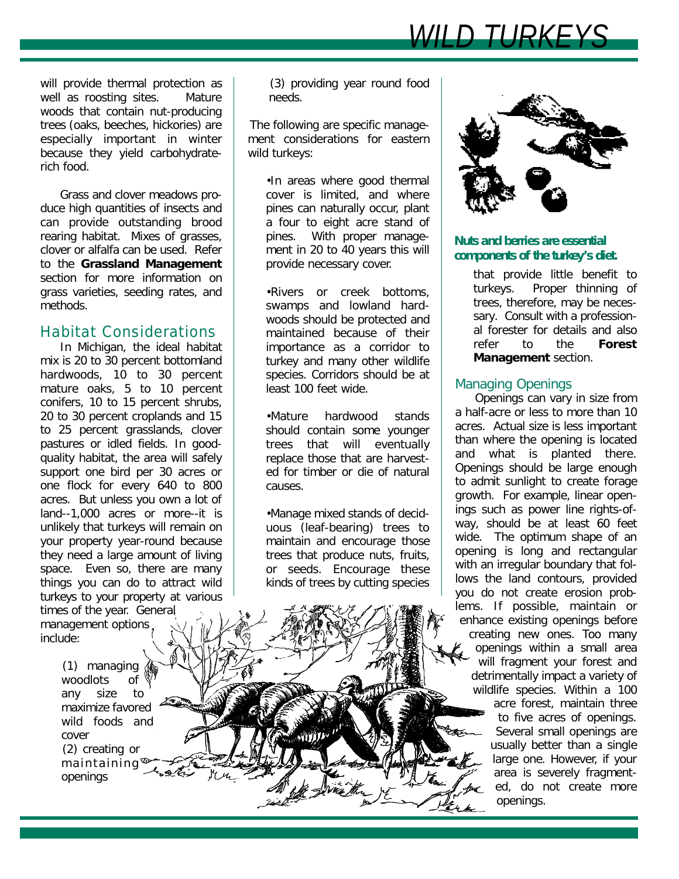*WILD TURKE* 

will provide thermal protection as well as roosting sites. Mature woods that contain nut-producing trees (oaks, beeches, hickories) are especially important in winter because they yield carbohydraterich food.

Grass and clover meadows produce high quantities of insects and can provide outstanding brood rearing habitat. Mixes of grasses, clover or alfalfa can be used. Refer to the **Grassland Management** section for more information on grass varieties, seeding rates, and methods.

#### Habitat Considerations

In Michigan, the ideal habitat mix is 20 to 30 percent bottomland hardwoods, 10 to 30 percent mature oaks, 5 to 10 percent conifers, 10 to 15 percent shrubs, 20 to 30 percent croplands and 15 to 25 percent grasslands, clover pastures or idled fields. In goodquality habitat, the area will safely support one bird per 30 acres or one flock for every 640 to 800 acres. But unless you own a lot of land--1,000 acres or more--it is unlikely that turkeys will remain on your property year-round because they need a large amount of living space. Even so, there are many things you can do to attract wild turkeys to your property at various

times of the year. General management options. include:

> (1) managing woodlots of any size to maximize favored wild foods and cover (2) creating or maintaining openings

(3) providing year round food needs.

The following are specific management considerations for eastern wild turkeys:

•In areas where good thermal cover is limited, and where pines can naturally occur, plant a four to eight acre stand of pines. With proper management in 20 to 40 years this will provide necessary cover.

•Rivers or creek bottoms, swamps and lowland hardwoods should be protected and maintained because of their importance as a corridor to turkey and many other wildlife species. Corridors should be at least 100 feet wide.

•Mature hardwood stands should contain some younger trees that will eventually replace those that are harvested for timber or die of natural causes.

•Manage mixed stands of deciduous (leaf-bearing) trees to maintain and encourage those trees that produce nuts, fruits, or seeds. Encourage these kinds of trees by cutting species



#### **Nuts and berries are essential components of the turkey's diet.**

that provide little benefit to turkeys. Proper thinning of trees, therefore, may be necessary. Consult with a professional forester for details and also refer to the **Forest Management** section.

#### *Managing Openings*

Openings can vary in size from a half-acre or less to more than 10 acres. Actual size is less important than where the opening is located and what is planted there. Openings should be large enough to admit sunlight to create forage growth. For example, linear openings such as power line rights-ofway, should be at least 60 feet wide. The optimum shape of an opening is long and rectangular with an irregular boundary that follows the land contours, provided you do not create erosion problems. If possible, maintain or enhance existing openings before creating new ones. Too many openings within a small area will fragment your forest and detrimentally impact a variety of wildlife species. Within a 100 acre forest, maintain three to five acres of openings. Several small openings are usually better than a single large one. However, if your area is severely fragmented, do not create more openings.